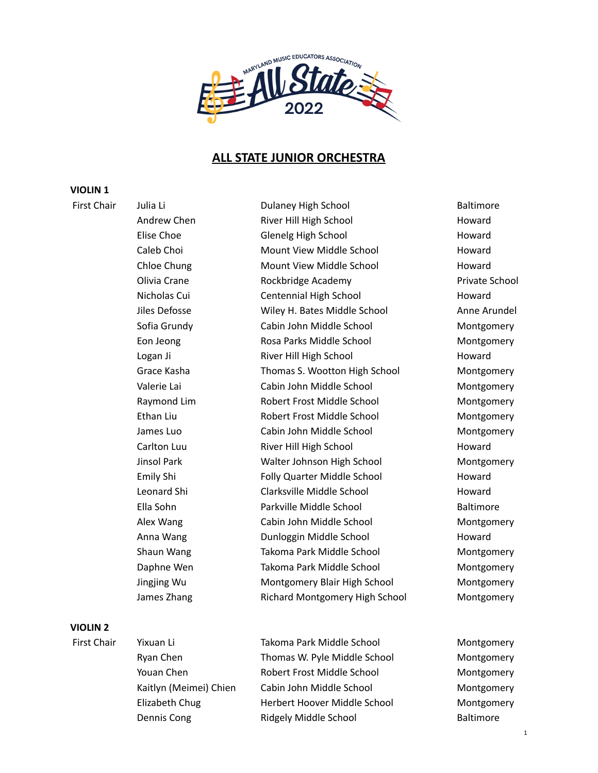

## **ALL STATE JUNIOR ORCHESTRA**

#### **VIOLIN 1**

First Chair Julia Li Dulaney High School Baltimore Andrew Chen **River Hill High School** Howard Elise Choe Glenelg High School Howard Caleb Choi Mount View Middle School Howard Chloe Chung **Mount View Middle School** Howard Olivia Crane **Rockbridge Academy Private School** Private School Nicholas Cui Centennial High School Howard Jiles Defosse Wiley H. Bates Middle School Anne Arundel Sofia Grundy Cabin John Middle School Montgomery Eon Jeong Rosa Parks Middle School Montgomery Logan Ji **River Hill High School** Howard Howard Grace Kasha Thomas S. Wootton High School Montgomery Valerie Lai **Cabin John Middle School** Montgomery Raymond Lim Robert Frost Middle School Montgomery Ethan Liu Robert Frost Middle School Montgomery James Luo Cabin John Middle School Montgomery Carlton Luu **River Hill High School** Howard Jinsol Park Walter Johnson High School Montgomery Emily Shi Folly Quarter Middle School Howard Leonard Shi Clarksville Middle School Howard Ella Sohn Parkville Middle School Baltimore Alex Wang Cabin John Middle School Montgomery Anna Wang **Dunloggin Middle School** Howard Shaun Wang Takoma Park Middle School Montgomery Daphne Wen Takoma Park Middle School Montgomery Jingjing Wu Montgomery Blair High School Montgomery James Zhang Richard Montgomery High School Montgomery

## **VIOLIN 2**

First Chair Yixuan Li Takoma Park Middle School Montgomery Ryan Chen Thomas W. Pyle Middle School Montgomery Youan Chen Robert Frost Middle School Montgomery Kaitlyn (Meimei) Chien Cabin John Middle School Montgomery Elizabeth Chug **Herbert Hoover Middle School** Montgomery Dennis Cong **Ridgely Middle School** Baltimore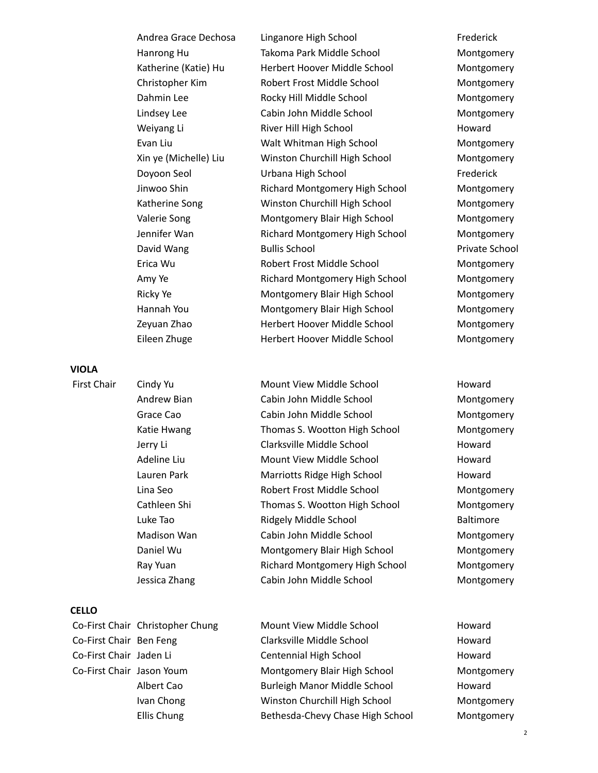| Andrea Grace Dechosa   |
|------------------------|
| Hanrong Hu             |
| Katherine (Katie) Hu   |
| Christopher Kim        |
| Dahmin Lee             |
| Lindsey Lee            |
| Weiyang Li             |
| Evan Liu               |
| Xin ye (Michelle) Liu  |
| Doyoon Seol            |
| Jinwoo Shin            |
| Katherine Song         |
| Valerie Song           |
| Jennifer Wan           |
| David Wang             |
| Erica Wu               |
| Amy Ye                 |
| <b>Ricky Ye</b>        |
| Hannah You             |
| Zeyuan Zhao            |
| $Eilson 7h, \text{or}$ |

**VIOLA**

### **CELLO**

Linganore High School Frederick Takoma Park Middle School Montgomery Herbert Hoover Middle School Montgomery Robert Frost Middle School Montgomery Rocky Hill Middle School Montgomery Cabin John Middle School Montgomery River Hill High School **Howard** Walt Whitman High School Montgomery Winston Churchill High School Montgomery Urbana High School Frederick Richard Montgomery High School Montgomery Winston Churchill High School Montgomery Montgomery Blair High School Montgomery Richard Montgomery High School Montgomery **Bullis School Bullis School** Robert Frost Middle School Montgomery Richard Montgomery High School Montgomery Montgomery Blair High School Montgomery Montgomery Blair High School Montgomery Herbert Hoover Middle School Montgomery Eileen Zhuge Herbert Hoover Middle School Montgomery

First Chair Cindy Yu **Mount View Middle School** Howard Andrew Bian Cabin John Middle School Montgomery Grace Cao **Cabin John Middle School** Montgomery Katie Hwang **Thomas S. Wootton High School** Montgomery Jerry Li **Clarksville Middle School** Howard Adeline Liu **Mount View Middle School** Howard Lauren Park Marriotts Ridge High School Howard Lina Seo Robert Frost Middle School Montgomery Cathleen Shi Thomas S. Wootton High School Montgomery Luke Tao **Ridgely Middle School** Baltimore Madison Wan Cabin John Middle School Montgomery Daniel Wu Montgomery Blair High School Montgomery Ray Yuan Richard Montgomery High School Montgomery Jessica Zhang Cabin John Middle School Montgomery

Co-First Chair Christopher Chung Mount View Middle School Howard Co-First Chair Ben Feng Clarksville Middle School Howard Co-First Chair Jaden Li Centennial High School Howard Co-First Chair Jason Youm Montgomery Blair High School Montgomery Albert Cao **Burleigh Manor Middle School** Howard Ivan Chong Winston Churchill High School Montgomery Ellis Chung Bethesda-Chevy Chase High School Montgomery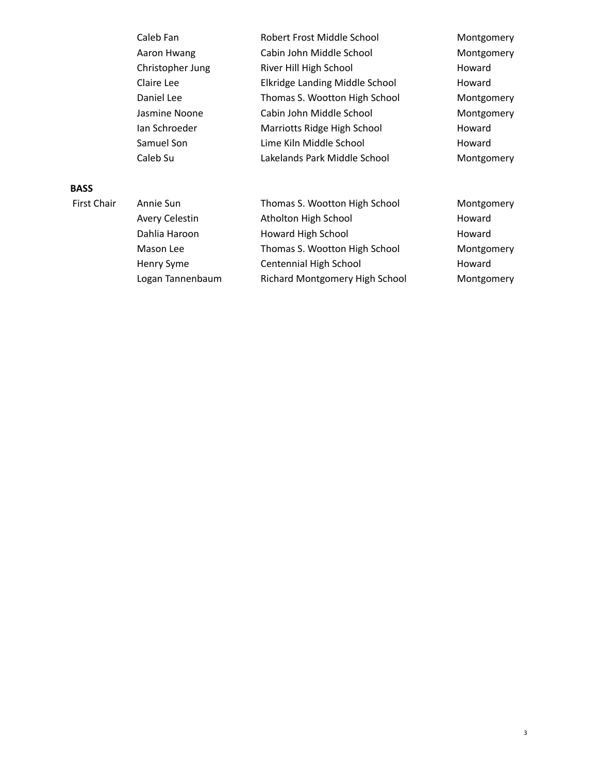| Caleb Fan        | Robert Frost Middle School     | Montgomery |
|------------------|--------------------------------|------------|
| Aaron Hwang      | Cabin John Middle School       | Montgomery |
| Christopher Jung | River Hill High School         | Howard     |
| Claire Lee       | Elkridge Landing Middle School | Howard     |
| Daniel Lee       | Thomas S. Wootton High School  | Montgomery |
| Jasmine Noone    | Cabin John Middle School       | Montgomery |
| Ian Schroeder    | Marriotts Ridge High School    | Howard     |
| Samuel Son       | Lime Kiln Middle School        | Howard     |
| Caleb Su         | Lakelands Park Middle School   | Montgomery |

## **BASS**

| <b>First Chair</b> | Annie Sun             | Thomas S. Wootton High School  | Montgomery |
|--------------------|-----------------------|--------------------------------|------------|
|                    | <b>Avery Celestin</b> | Atholton High School           | Howard     |
|                    | Dahlia Haroon         | Howard High School             | Howard     |
|                    | Mason Lee             | Thomas S. Wootton High School  | Montgomery |
|                    | Henry Syme            | Centennial High School         | Howard     |
|                    | Logan Tannenbaum      | Richard Montgomery High School | Montgomery |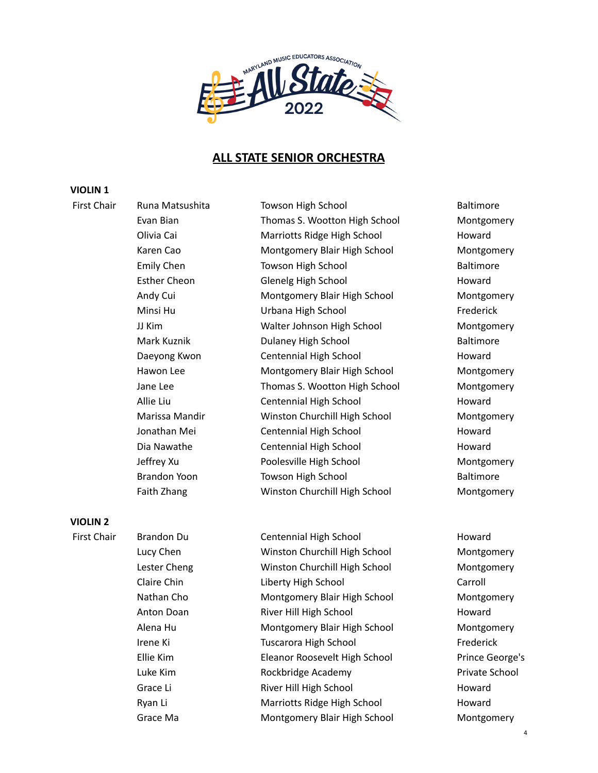

# **ALL STATE SENIOR ORCHESTRA**

#### **VIOLIN 1**

First Chair Buna Matsushita Towson High School The Baltimore Evan Bian Thomas S. Wootton High School Montgomery Olivia Cai **Marriotts Ridge High School** Howard Karen Cao Montgomery Blair High School Montgomery Emily Chen Towson High School **Baltimore** Baltimore Esther Cheon Glenelg High School Howard Andy Cui Montgomery Blair High School Montgomery Minsi Hu **Institute Communist Urbana High School** Frederick JJ Kim Walter Johnson High School Montgomery Mark Kuznik Dulaney High School Baltimore Daeyong Kwon **Centennial High School** Howard Hawon Lee Montgomery Blair High School Montgomery Jane Lee Thomas S. Wootton High School Montgomery Allie Liu Centennial High School Howard Marissa Mandir Winston Churchill High School Montgomery Jonathan Mei Centennial High School Howard Dia Nawathe Centennial High School Howard Jeffrey Xu Poolesville High School Montgomery Brandon Yoon **Towson High School** Baltimore Faith Zhang Winston Churchill High School Montgomery

### **VIOLIN 2**

First Chair Brandon Du Centennial High School Howard Lucy Chen Winston Churchill High School Montgomery Lester Cheng Winston Churchill High School Montgomery Claire Chin Liberty High School Carroll Nathan Cho **Montgomery Blair High School** Montgomery Anton Doan **River Hill High School** Howard Alena Hu **Montgomery Blair High School** Montgomery Irene Ki **Tuscarora High School** Frederick Ellie Kim Eleanor Roosevelt High School Prince George's Luke Kim **Rockbridge Academy Private School** Private School Grace Li River Hill High School Howard Ryan Li **Marriotts Ridge High School** Howard Grace Ma Montgomery Blair High School Montgomery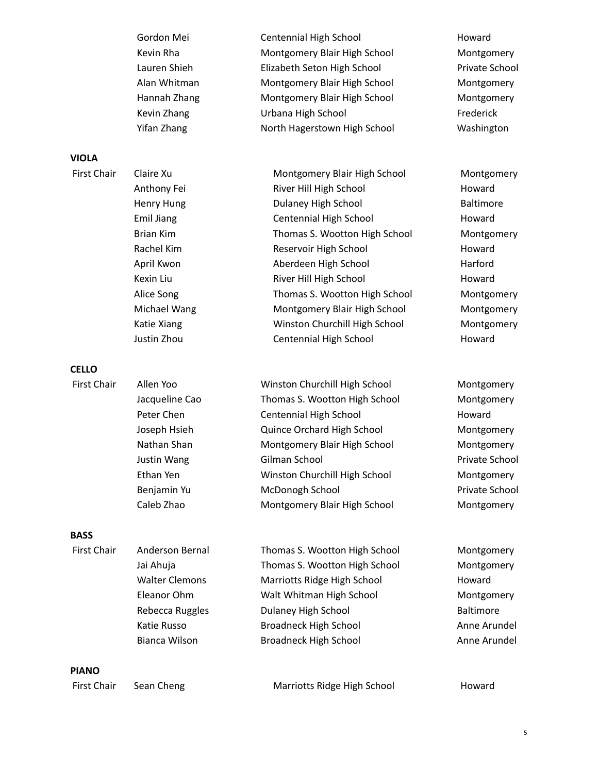| Gordon Mei   | Centennial High School       | Howard     |
|--------------|------------------------------|------------|
| Kevin Rha    | Montgomery Blair High School | Montgom    |
| Lauren Shieh | Elizabeth Seton High School  | Private Sc |
| Alan Whitman | Montgomery Blair High School | Montgom    |
| Hannah Zhang | Montgomery Blair High School | Montgom    |
| Kevin Zhang  | Urbana High School           | Frederick  |
| Yifan Zhang  | North Hagerstown High School | Washingto  |

### **VIOLA**

Anthony Fei **River Hill High School** Howard Henry Hung **National Baltimore** Dulaney High School **Baltimore** Emil Jiang Centennial High School Howard Rachel Kim Reservoir High School Howard April Kwon **Aberdeen High School** Harford Kexin Liu **River Hill High School** Howard

#### **CELLO**

| First Chair | Allen Yoo      | Winston Churchill High School | Montgomery     |
|-------------|----------------|-------------------------------|----------------|
|             | Jacqueline Cao | Thomas S. Wootton High School | Montgomery     |
|             | Peter Chen     | Centennial High School        | Howard         |
|             | Joseph Hsieh   | Quince Orchard High School    | Montgomery     |
|             | Nathan Shan    | Montgomery Blair High School  | Montgomery     |
|             | Justin Wang    | Gilman School                 | Private School |
|             | Ethan Yen      | Winston Churchill High School | Montgomery     |
|             | Benjamin Yu    | McDonogh School               | Private School |
|             | Caleb Zhao     | Montgomery Blair High School  | Montgomery     |
|             |                |                               |                |

### **BASS**

| <b>First Chair</b> | Anderson Bernal       | Thomas S. Wootton High School | Montgomery       |
|--------------------|-----------------------|-------------------------------|------------------|
|                    | Jai Ahuja             | Thomas S. Wootton High School | Montgomery       |
|                    | <b>Walter Clemons</b> | Marriotts Ridge High School   | Howard           |
|                    | Eleanor Ohm           | Walt Whitman High School      | Montgomery       |
|                    | Rebecca Ruggles       | Dulaney High School           | <b>Baltimore</b> |
|                    | Katie Russo           | <b>Broadneck High School</b>  | Anne Arundel     |
|                    | Bianca Wilson         | <b>Broadneck High School</b>  | Anne Arundel     |
|                    |                       |                               |                  |

**PIANO**

| First Chair | Sean Cheng | Marriotts Ridge High School | Howard |
|-------------|------------|-----------------------------|--------|
|-------------|------------|-----------------------------|--------|

ontgomery vate School an tgomery ontgomery ashington

First Chair Claire Xu **Montgomery Blair High School** Montgomery Brian Kim Thomas S. Wootton High School Montgomery Alice Song Thomas S. Wootton High School Montgomery Michael Wang **Montgomery Blair High School** Montgomery Katie Xiang **Winston Churchill High School** Montgomery Justin Zhou **Centennial High School** Howard